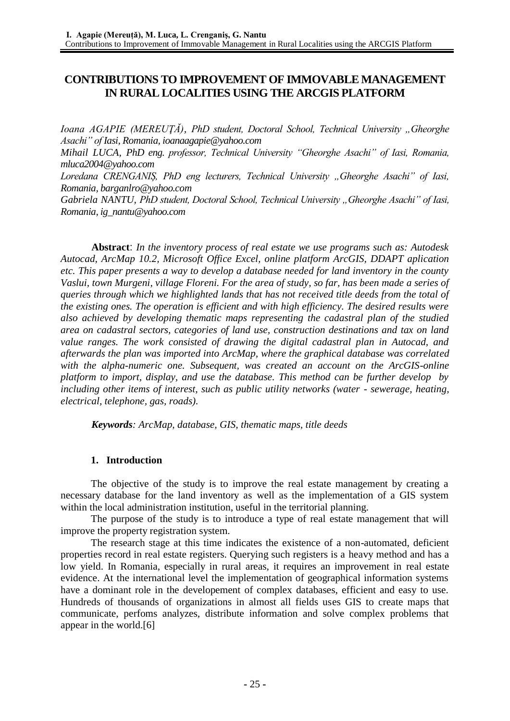# **CONTRIBUTIONS TO IMPROVEMENT OF IMMOVABLE MANAGEMENT IN RURAL LOCALITIES USING THE ARCGIS PLATFORM**

*Ioana AGAPIE (MEREUŢĂ), PhD student, Doctoral School, Technical University "Gheorghe Asachi" of Iasi, Romania, ioanaagapie@yahoo.com*

*Mihail LUCA, PhD eng. professor, Technical University "Gheorghe Asachi" of Iasi, Romania, [mluca2004@yahoo.com](mailto:mluca2004@yahoo.com)*

Loredana CRENGANIȘ, PhD eng lecturers, Technical University "Gheorghe Asachi" of Iasi, *Romania, barganlro@yahoo.com*

Gabriela NANTU, PhD student, Doctoral School, Technical University "Gheorghe Asachi" of Iasi, *Romania, ig\_nantu@yahoo.com*

**Abstract**: *In the inventory process of real estate we use programs such as: Autodesk Autocad, ArcMap 10.2, Microsoft Office Excel, online platform ArcGIS, DDAPT aplication etc. This paper presents a way to develop a database needed for land inventory in the county Vaslui, town Murgeni, village Floreni. For the area of study, so far, has been made a series of queries through which we highlighted lands that has not received title deeds from the total of the existing ones. The operation is efficient and with high efficiency. The desired results were also achieved by developing thematic maps representing the cadastral plan of the studied area on cadastral sectors, categories of land use, construction destinations and tax on land value ranges. The work consisted of drawing the digital cadastral plan in Autocad, and afterwards the plan was imported into ArcMap, where the graphical database was correlated with the alpha-numeric one. Subsequent, was created an account on the ArcGIS-online platform to import, display, and use the database. This method can be further develop by including other items of interest, such as public utility networks (water - sewerage, heating, electrical, telephone, gas, roads).*

*Keywords: ArcMap, database, GIS, thematic maps, title deeds*

#### **1. Introduction**

The objective of the study is to improve the real estate management by creating a necessary database for the land inventory as well as the implementation of a GIS system within the local administration institution, useful in the territorial planning.

The purpose of the study is to introduce a type of real estate management that will improve the property registration system.

The research stage at this time indicates the existence of a non-automated, deficient properties record in real estate registers. Querying such registers is a heavy method and has a low yield. In Romania, especially in rural areas, it requires an improvement in real estate evidence. At the international level the implementation of geographical information systems have a dominant role in the developement of complex databases, efficient and easy to use. Hundreds of thousands of organizations in almost all fields uses GIS to create maps that communicate, perfoms analyzes, distribute information and solve complex problems that appear in the world.[6]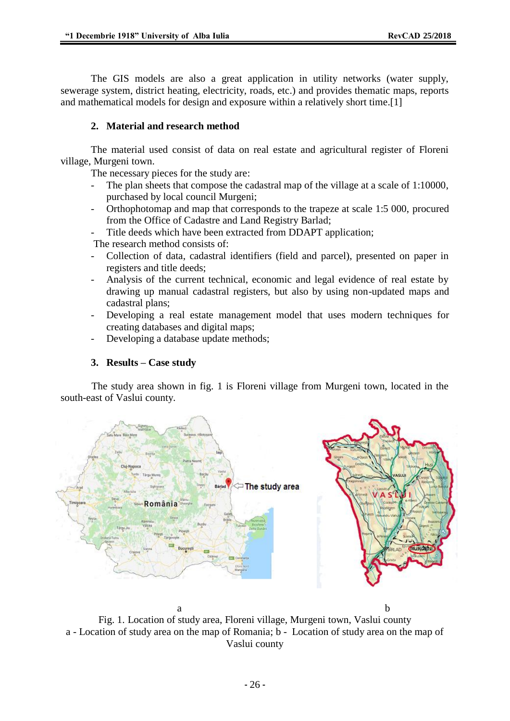The GIS models are also a great application in utility networks (water supply, sewerage system, district heating, electricity, roads, etc.) and provides thematic maps, reports and mathematical models for design and exposure within a relatively short time.[1]

### **2. Material and research method**

The material used consist of data on real estate and agricultural register of Floreni village, Murgeni town.

The necessary pieces for the study are:

- The plan sheets that compose the cadastral map of the village at a scale of 1:10000, purchased by local council Murgeni;
- Orthophotomap and map that corresponds to the trapeze at scale 1:5 000, procured from the Office of Cadastre and Land Registry Barlad;
- Title deeds which have been extracted from DDAPT application;

The research method consists of:

- Collection of data, cadastral identifiers (field and parcel), presented on paper in registers and title deeds;
- Analysis of the current technical, economic and legal evidence of real estate by drawing up manual cadastral registers, but also by using non-updated maps and cadastral plans;
- Developing a real estate management model that uses modern techniques for creating databases and digital maps;
- Developing a database update methods;

### **3. Results – Case study**

The study area shown in fig. 1 is Floreni village from Murgeni town, located in the south-east of Vaslui county.



Fig. 1. Location of study area, Floreni village, Murgeni town, Vaslui county a - Location of study area on the map of Romania; b - Location of study area on the map of Vaslui county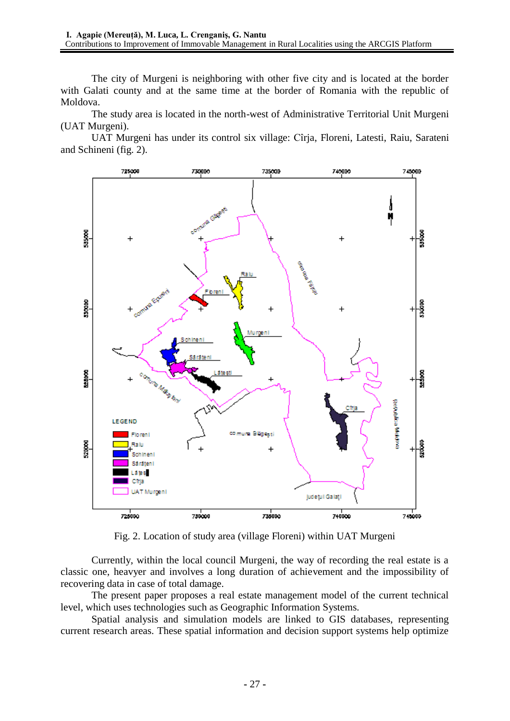The city of Murgeni is neighboring with other five city and is located at the border with Galati county and at the same time at the border of Romania with the republic of Moldova.

The study area is located in the north-west of Administrative Territorial Unit Murgeni (UAT Murgeni).

UAT Murgeni has under its control six village: Cîrja, Floreni, Latesti, Raiu, Sarateni and Schineni (fig. 2).



Fig. 2. Location of study area (village Floreni) within UAT Murgeni

Currently, within the local council Murgeni, the way of recording the real estate is a classic one, heavyer and involves a long duration of achievement and the impossibility of recovering data in case of total damage.

The present paper proposes a real estate management model of the current technical level, which uses technologies such as Geographic Information Systems.

Spatial analysis and simulation models are linked to GIS databases, representing current research areas. These spatial information and decision support systems help optimize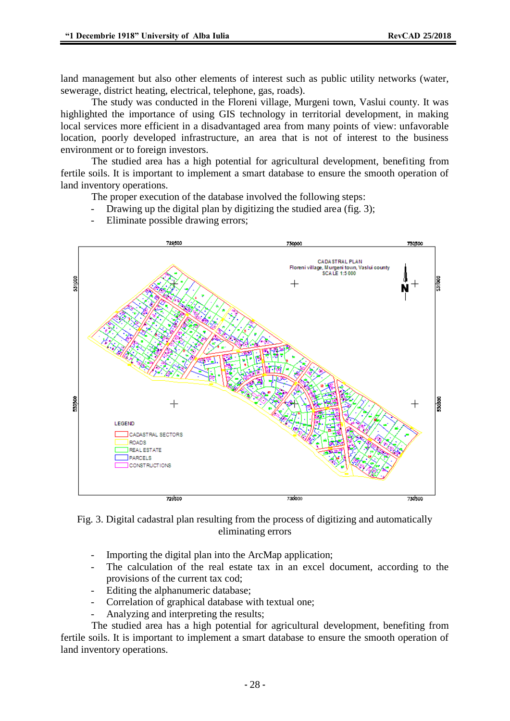land management but also other elements of interest such as public utility networks (water, sewerage, district heating, electrical, telephone, gas, roads).

The study was conducted in the Floreni village, Murgeni town, Vaslui county. It was highlighted the importance of using GIS technology in territorial development, in making local services more efficient in a disadvantaged area from many points of view: unfavorable location, poorly developed infrastructure, an area that is not of interest to the business environment or to foreign investors.

The studied area has a high potential for agricultural development, benefiting from fertile soils. It is important to implement a smart database to ensure the smooth operation of land inventory operations.

The proper execution of the database involved the following steps:

- Drawing up the digital plan by digitizing the studied area (fig. 3);
- 729500 750500 750000 **CADASTRAL PLAN** Floreni village, Murgeni town, Vaslui county<br>SCALE 1:5 000 531000  $^{+}$ **TENNING**  $\frac{1}{2}$ LEGEND CADASTRAL SECTORS ROADS REAL ESTATE Прдверга **CONSTRUCTIONS** 730000 729500 730500
- Eliminate possible drawing errors;



- Importing the digital plan into the ArcMap application;
- The calculation of the real estate tax in an excel document, according to the provisions of the current tax cod;
- Editing the alphanumeric database;
- Correlation of graphical database with textual one;
- Analyzing and interpreting the results;

The studied area has a high potential for agricultural development, benefiting from fertile soils. It is important to implement a smart database to ensure the smooth operation of land inventory operations.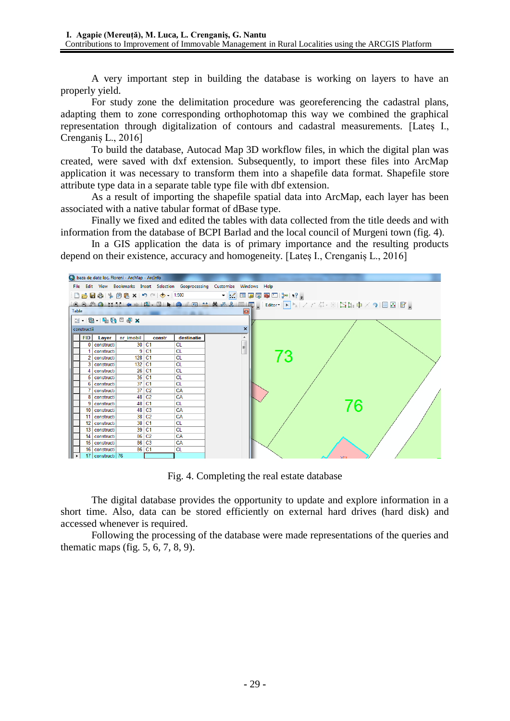A very important step in building the database is working on layers to have an properly yield.

For study zone the delimitation procedure was georeferencing the cadastral plans, adapting them to zone corresponding orthophotomap this way we combined the graphical representation through digitalization of contours and cadastral measurements. [Lateș I., Crenganiș L., 2016]

To build the database, Autocad Map 3D workflow files, in which the digital plan was created, were saved with dxf extension. Subsequently, to import these files into ArcMap application it was necessary to transform them into a shapefile data format. Shapefile store attribute type data in a separate table type file with dbf extension.

As a result of importing the shapefile spatial data into ArcMap, each layer has been associated with a native tabular format of dBase type.

Finally we fixed and edited the tables with data collected from the title deeds and with information from the database of BCPI Barlad and the local council of Murgeni town (fig. 4).

In a GIS application the data is of primary importance and the resulting products depend on their existence, accuracy and homogeneity. [Lateș I., Crenganiș L., 2016]



Fig. 4. Completing the real estate database

The digital database provides the opportunity to update and explore information in a short time. Also, data can be stored efficiently on external hard drives (hard disk) and accessed whenever is required.

Following the processing of the database were made representations of the queries and thematic maps (fig. 5, 6, 7, 8, 9).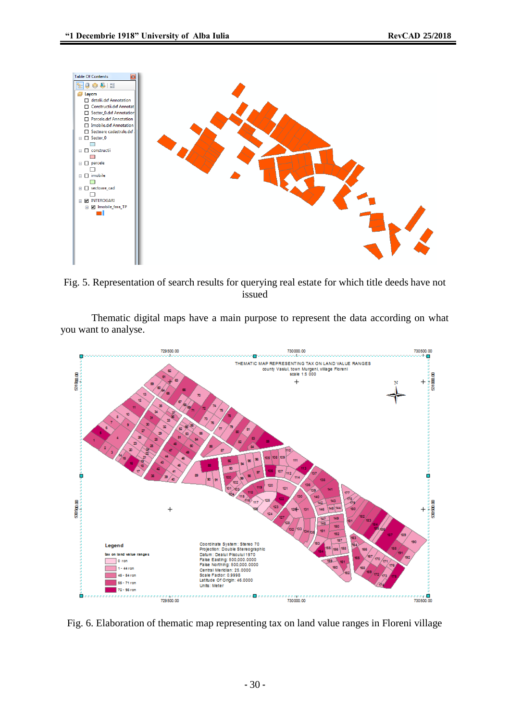

Fig. 5. Representation of search results for querying real estate for which title deeds have not issued

Thematic digital maps have a main purpose to represent the data according on what you want to analyse.



Fig. 6. Elaboration of thematic map representing tax on land value ranges in Floreni village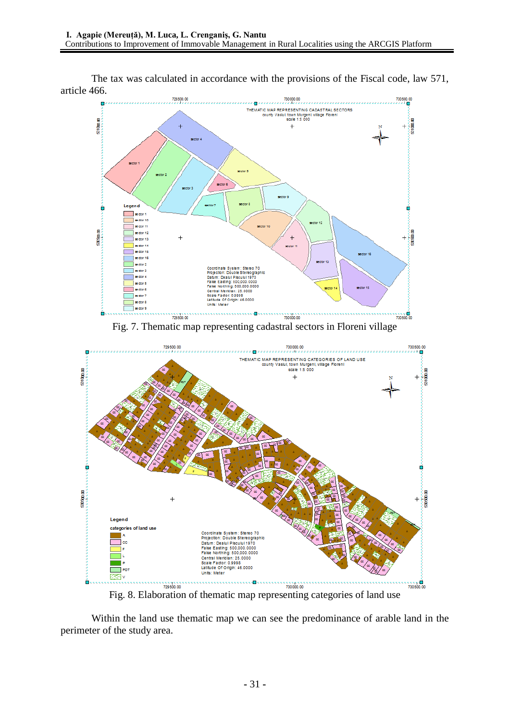The tax was calculated in accordance with the provisions of the Fiscal code, law 571, article 466.



Fig. 7. Thematic map representing cadastral sectors in Floreni village



Fig. 8. Elaboration of thematic map representing categories of land use

Within the land use thematic map we can see the predominance of arable land in the perimeter of the study area.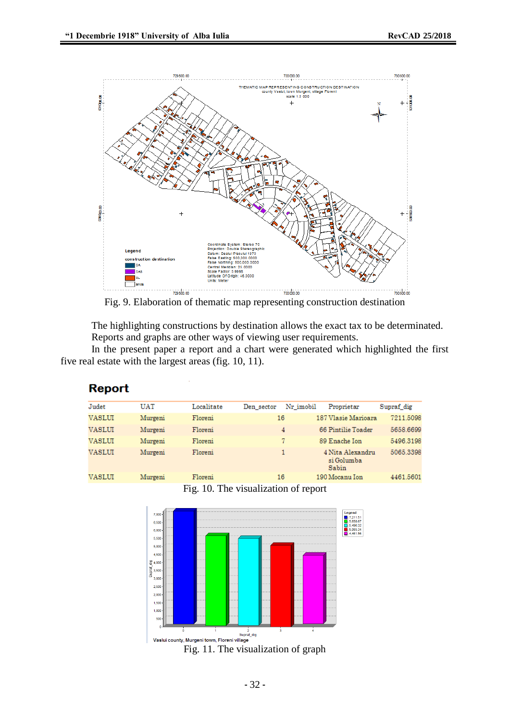

Fig. 9. Elaboration of thematic map representing construction destination

The highlighting constructions by destination allows the exact tax to be determinated. Reports and graphs are other ways of viewing user requirements.

In the present paper a report and a chart were generated which highlighted the first five real estate with the largest areas (fig. 10, 11).

#### **Report**

| Judet  | UAT     | Localitate | Den sector | Nr imobil | Proprietar                              | Supraf dig |
|--------|---------|------------|------------|-----------|-----------------------------------------|------------|
| VASLUI | Murgeni | Floreni    | 16         |           | 187 Vlasie Marioara                     | 7211.5098  |
| VASLUI | Murgeni | Floreni    |            | 4         | 66 Pintilie Toader                      | 5658.6699  |
| VASLUI | Murgeni | Floreni    |            | 7.        | 89 Enache Ion                           | 5496.3198  |
| VASLUI | Murgeni | Floreni    |            | 1.        | 4 Nita Alexandru<br>si Golumba<br>Sabin | 5065.3398  |
| VASLUI | Murgeni | Floreni    | 16         |           | 190 Mocanu Ion                          | 4461.5601  |





- 32 -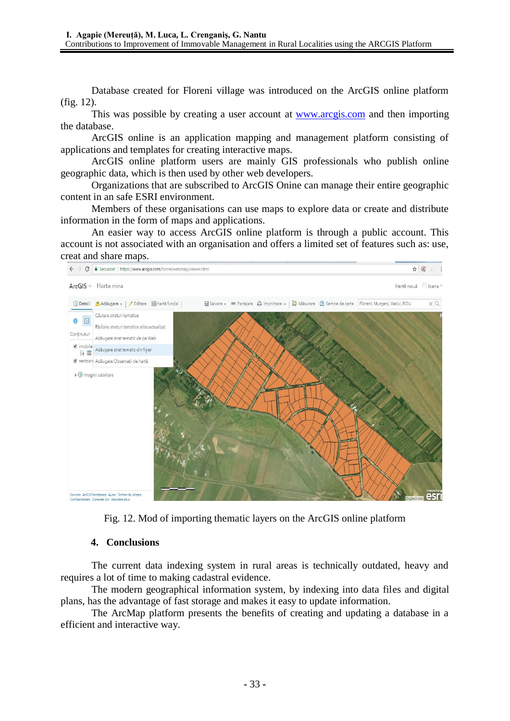Database created for Floreni village was introduced on the ArcGIS online platform (fig. 12).

This was possible by creating a user account at [www.arcgis.com](http://www.arcgis.com/) and then importing the database.

ArcGIS online is an application mapping and management platform consisting of applications and templates for creating interactive maps.

ArcGIS online platform users are mainly GIS professionals who publish online geographic data, which is then used by other web developers.

Organizations that are subscribed to ArcGIS Onine can manage their entire geographic content in an safe ESRI environment.

Members of these organisations can use maps to explore data or create and distribute information in the form of maps and applications.

An easier way to access ArcGIS online platform is through a public account. This account is not associated with an organisation and offers a limited set of features such as: use, creat and share maps.



Fig. 12. Mod of importing thematic layers on the ArcGIS online platform

### **4. Conclusions**

The current data indexing system in rural areas is technically outdated, heavy and requires a lot of time to making cadastral evidence.

The modern geographical information system, by indexing into data files and digital plans, has the advantage of fast storage and makes it easy to update information.

The ArcMap platform presents the benefits of creating and updating a database in a efficient and interactive way.